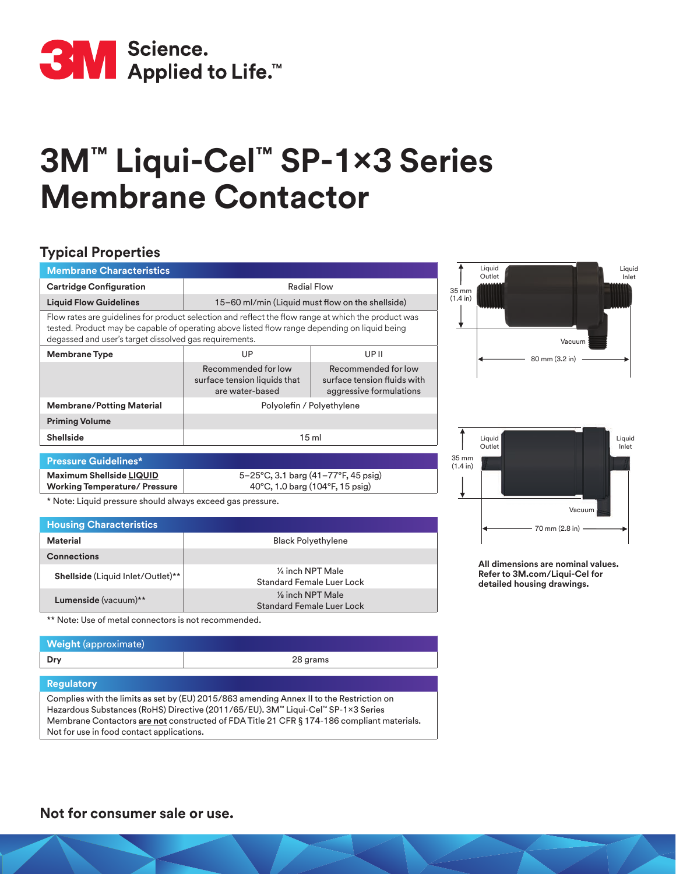

# **3M™ Liqui-Cel™ SP-1x3 Series Membrane Contactor**

### **Typical Properties**

| <b>Membrane Characteristics</b>                                                                                                                                                                                                                                |                                                                        |                                                                               |
|----------------------------------------------------------------------------------------------------------------------------------------------------------------------------------------------------------------------------------------------------------------|------------------------------------------------------------------------|-------------------------------------------------------------------------------|
| <b>Cartridge Configuration</b>                                                                                                                                                                                                                                 | Radial Flow                                                            |                                                                               |
| <b>Liquid Flow Guidelines</b>                                                                                                                                                                                                                                  | 15–60 ml/min (Liquid must flow on the shellside)                       |                                                                               |
| Flow rates are guidelines for product selection and reflect the flow range at which the product was<br>tested. Product may be capable of operating above listed flow range depending on liquid being<br>degassed and user's target dissolved gas requirements. |                                                                        |                                                                               |
| <b>Membrane Type</b>                                                                                                                                                                                                                                           | UP                                                                     | UP II                                                                         |
|                                                                                                                                                                                                                                                                | Recommended for low<br>surface tension liquids that<br>are water-based | Recommended for low<br>surface tension fluids with<br>aggressive formulations |
| <b>Membrane/Potting Material</b>                                                                                                                                                                                                                               | Polyolefin / Polyethylene                                              |                                                                               |
| <b>Priming Volume</b>                                                                                                                                                                                                                                          |                                                                        |                                                                               |
| <b>Shellside</b>                                                                                                                                                                                                                                               | 15 <sub>ml</sub>                                                       |                                                                               |
| <b>Pressure Guidelines*</b>                                                                                                                                                                                                                                    |                                                                        |                                                                               |



Liquid Outlet

**Maximum Shellside LIQUID Working Temperature/ Pressure** 5–25°C, 3.1 barg (41–77°F, 45 psig) 40°C, 1.0 barg (104°F, 15 psig) \* Note: Liquid pressure should always exceed gas pressure.

| <b>Housing Characteristics</b>    |                                                          |
|-----------------------------------|----------------------------------------------------------|
| Material                          | <b>Black Polyethylene</b>                                |
| <b>Connections</b>                |                                                          |
| Shellside (Liquid Inlet/Outlet)** | 1/4 inch NPT Male<br>Standard Female Luer Lock           |
| Lumenside (vacuum)**              | $\frac{1}{2}$ inch NPT Male<br>Standard Female Luer Lock |

\*\* Note: Use of metal connectors is not recommended.

## **Weight** (approximate) **Dry** 28 grams

#### **Regulatory**

Complies with the limits as set by (EU) 2015/863 amending Annex II to the Restriction on Hazardous Substances (RoHS) Directive (2011/65/EU). 3M™ Liqui-Cel™ SP-1×3 Series Membrane Contactors **are not** constructed of FDA Title 21 CFR § 174-186 compliant materials. Not for use in food contact applications.

**All dimensions are nominal values. Refer to 3M.com/Liqui-Cel for detailed housing drawings.**

70 mm (2.8 in)

Vacuu

Liquid Inlet

**Not for consumer sale or use.**